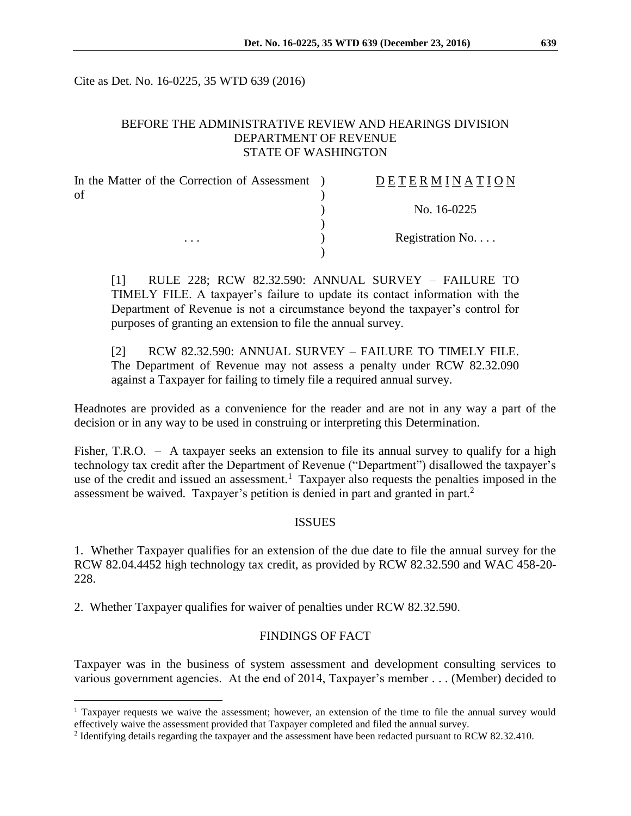Cite as Det. No. 16-0225, 35 WTD 639 (2016)

### BEFORE THE ADMINISTRATIVE REVIEW AND HEARINGS DIVISION DEPARTMENT OF REVENUE STATE OF WASHINGTON

| In the Matter of the Correction of Assessment | DETERMINATION            |
|-----------------------------------------------|--------------------------|
| of<br>$\cdots$                                |                          |
|                                               | No. 16-0225              |
|                                               |                          |
|                                               | Registration No. $\dots$ |
|                                               |                          |

[1] RULE 228; RCW 82.32.590: ANNUAL SURVEY – FAILURE TO TIMELY FILE. A taxpayer's failure to update its contact information with the Department of Revenue is not a circumstance beyond the taxpayer's control for purposes of granting an extension to file the annual survey.

[2] RCW 82.32.590: ANNUAL SURVEY – FAILURE TO TIMELY FILE. The Department of Revenue may not assess a penalty under RCW 82.32.090 against a Taxpayer for failing to timely file a required annual survey.

Headnotes are provided as a convenience for the reader and are not in any way a part of the decision or in any way to be used in construing or interpreting this Determination.

Fisher, T.R.O. – A taxpayer seeks an extension to file its annual survey to qualify for a high technology tax credit after the Department of Revenue ("Department") disallowed the taxpayer's use of the credit and issued an assessment.<sup>1</sup> Taxpayer also requests the penalties imposed in the assessment be waived. Taxpayer's petition is denied in part and granted in part.<sup>2</sup>

#### ISSUES

1. Whether Taxpayer qualifies for an extension of the due date to file the annual survey for the RCW 82.04.4452 high technology tax credit, as provided by RCW 82.32.590 and WAC 458-20- 228.

2. Whether Taxpayer qualifies for waiver of penalties under RCW 82.32.590.

 $\overline{a}$ 

### FINDINGS OF FACT

Taxpayer was in the business of system assessment and development consulting services to various government agencies. At the end of 2014, Taxpayer's member . . . (Member) decided to

<sup>1</sup> Taxpayer requests we waive the assessment; however, an extension of the time to file the annual survey would effectively waive the assessment provided that Taxpayer completed and filed the annual survey.

<sup>&</sup>lt;sup>2</sup> Identifying details regarding the taxpayer and the assessment have been redacted pursuant to RCW 82.32.410.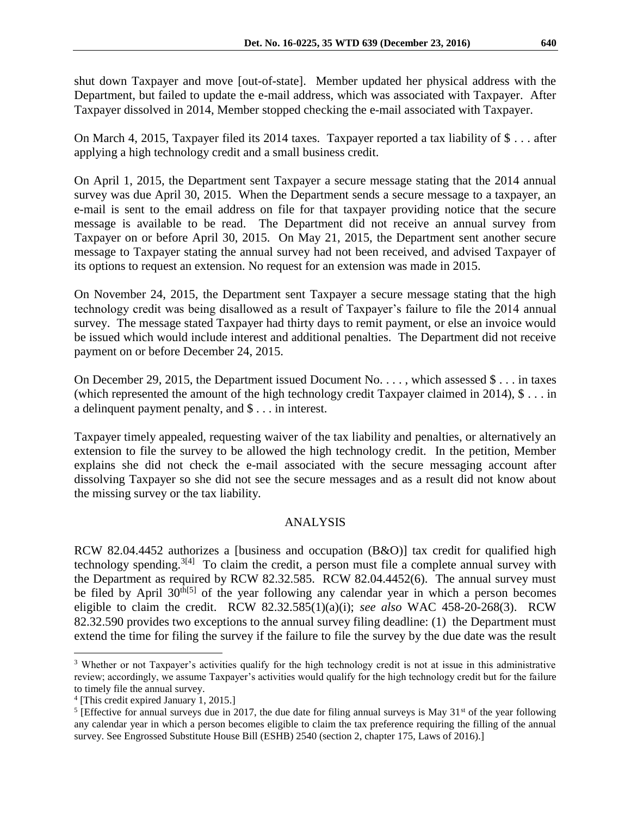shut down Taxpayer and move [out-of-state]. Member updated her physical address with the Department, but failed to update the e-mail address, which was associated with Taxpayer. After Taxpayer dissolved in 2014, Member stopped checking the e-mail associated with Taxpayer.

On March 4, 2015, Taxpayer filed its 2014 taxes. Taxpayer reported a tax liability of \$ . . . after applying a high technology credit and a small business credit.

On April 1, 2015, the Department sent Taxpayer a secure message stating that the 2014 annual survey was due April 30, 2015. When the Department sends a secure message to a taxpayer, an e-mail is sent to the email address on file for that taxpayer providing notice that the secure message is available to be read. The Department did not receive an annual survey from Taxpayer on or before April 30, 2015. On May 21, 2015, the Department sent another secure message to Taxpayer stating the annual survey had not been received, and advised Taxpayer of its options to request an extension. No request for an extension was made in 2015.

On November 24, 2015, the Department sent Taxpayer a secure message stating that the high technology credit was being disallowed as a result of Taxpayer's failure to file the 2014 annual survey. The message stated Taxpayer had thirty days to remit payment, or else an invoice would be issued which would include interest and additional penalties. The Department did not receive payment on or before December 24, 2015.

On December 29, 2015, the Department issued Document No. . . . , which assessed \$ . . . in taxes (which represented the amount of the high technology credit Taxpayer claimed in 2014), \$ . . . in a delinquent payment penalty, and \$ . . . in interest.

Taxpayer timely appealed, requesting waiver of the tax liability and penalties, or alternatively an extension to file the survey to be allowed the high technology credit. In the petition, Member explains she did not check the e-mail associated with the secure messaging account after dissolving Taxpayer so she did not see the secure messages and as a result did not know about the missing survey or the tax liability.

# ANALYSIS

RCW 82.04.4452 authorizes a [business and occupation (B&O)] tax credit for qualified high technology spending.<sup>3[4]</sup> To claim the credit, a person must file a complete annual survey with the Department as required by RCW 82.32.585. RCW 82.04.4452(6). The annual survey must be filed by April  $30<sup>th[5]</sup>$  of the year following any calendar year in which a person becomes eligible to claim the credit. RCW 82.32.585(1)(a)(i); *see also* WAC 458-20-268(3). RCW 82.32.590 provides two exceptions to the annual survey filing deadline: (1) the Department must extend the time for filing the survey if the failure to file the survey by the due date was the result

 $\overline{a}$ 

<sup>3</sup> Whether or not Taxpayer's activities qualify for the high technology credit is not at issue in this administrative review; accordingly, we assume Taxpayer's activities would qualify for the high technology credit but for the failure to timely file the annual survey.

<sup>4</sup> [This credit expired January 1, 2015.]

<sup>&</sup>lt;sup>5</sup> [Effective for annual surveys due in 2017, the due date for filing annual surveys is May  $31<sup>st</sup>$  of the year following any calendar year in which a person becomes eligible to claim the tax preference requiring the filling of the annual survey. See Engrossed Substitute House Bill (ESHB) 2540 (section 2, chapter 175, Laws of 2016).]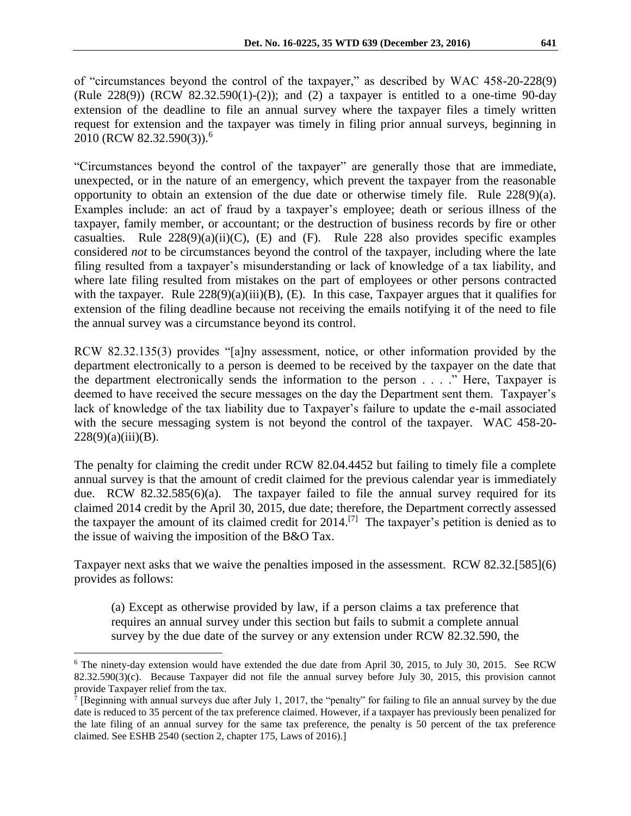of "circumstances beyond the control of the taxpayer," as described by WAC 458-20-228(9) (Rule  $228(9)$ ) (RCW  $82.32.590(1)-(2)$ ); and (2) a taxpayer is entitled to a one-time 90-day extension of the deadline to file an annual survey where the taxpayer files a timely written request for extension and the taxpayer was timely in filing prior annual surveys, beginning in 2010 (RCW 82.32.590(3)).<sup>6</sup>

"Circumstances beyond the control of the taxpayer" are generally those that are immediate, unexpected, or in the nature of an emergency, which prevent the taxpayer from the reasonable opportunity to obtain an extension of the due date or otherwise timely file. Rule 228(9)(a). Examples include: an act of fraud by a taxpayer's employee; death or serious illness of the taxpayer, family member, or accountant; or the destruction of business records by fire or other casualties. Rule  $228(9)(a)(ii)(C)$ , (E) and (F). Rule 228 also provides specific examples considered *not* to be circumstances beyond the control of the taxpayer, including where the late filing resulted from a taxpayer's misunderstanding or lack of knowledge of a tax liability, and where late filing resulted from mistakes on the part of employees or other persons contracted with the taxpayer. Rule  $228(9)(a)(iii)(B)$ , (E). In this case, Taxpayer argues that it qualifies for extension of the filing deadline because not receiving the emails notifying it of the need to file the annual survey was a circumstance beyond its control.

RCW 82.32.135(3) provides "[a]ny assessment, notice, or other information provided by the department electronically to a person is deemed to be received by the taxpayer on the date that the department electronically sends the information to the person . . . ." Here, Taxpayer is deemed to have received the secure messages on the day the Department sent them. Taxpayer's lack of knowledge of the tax liability due to Taxpayer's failure to update the e-mail associated with the secure messaging system is not beyond the control of the taxpayer. WAC 458-20-  $228(9)(a)(iii)(B).$ 

The penalty for claiming the credit under RCW 82.04.4452 but failing to timely file a complete annual survey is that the amount of credit claimed for the previous calendar year is immediately due. RCW 82.32.585(6)(a). The taxpayer failed to file the annual survey required for its claimed 2014 credit by the April 30, 2015, due date; therefore, the Department correctly assessed the taxpayer the amount of its claimed credit for  $2014$ .<sup>[7]</sup> The taxpayer's petition is denied as to the issue of waiving the imposition of the B&O Tax.

Taxpayer next asks that we waive the penalties imposed in the assessment. RCW 82.32.[585](6) provides as follows:

(a) Except as otherwise provided by law, if a person claims a tax preference that requires an annual survey under this section but fails to submit a complete annual survey by the due date of the survey or any extension under RCW 82.32.590, the

 $\overline{a}$ 

 $6$  The ninety-day extension would have extended the due date from April 30, 2015, to July 30, 2015. See RCW 82.32.590(3)(c). Because Taxpayer did not file the annual survey before July 30, 2015, this provision cannot provide Taxpayer relief from the tax.

<sup>&</sup>lt;sup>7</sup> [Beginning with annual surveys due after July 1, 2017, the "penalty" for failing to file an annual survey by the due date is reduced to 35 percent of the tax preference claimed. However, if a taxpayer has previously been penalized for the late filing of an annual survey for the same tax preference, the penalty is 50 percent of the tax preference claimed. See ESHB 2540 (section 2, chapter 175, Laws of 2016).]